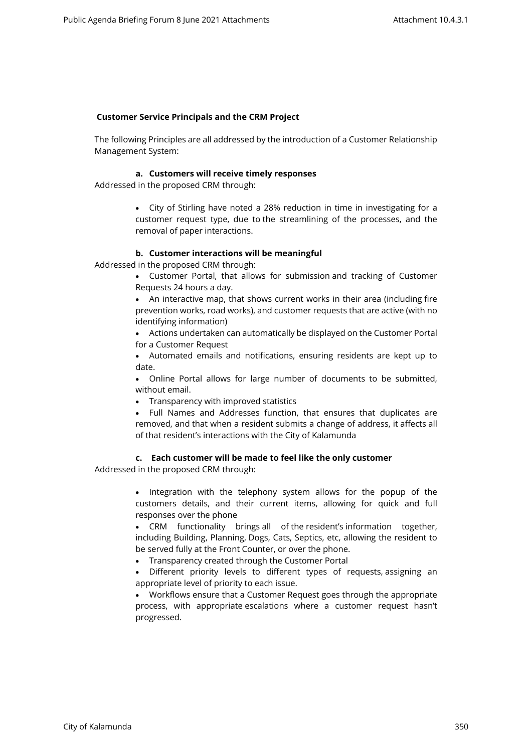# **Customer Service Principals and the CRM Project**

The following Principles are all addressed by the introduction of a Customer Relationship Management System:

# **a. Customers will receive timely responses**

Addressed in the proposed CRM through:

 City of Stirling have noted a 28% reduction in time in investigating for a customer request type, due to the streamlining of the processes, and the removal of paper interactions.

# **b. Customer interactions will be meaningful**

Addressed in the proposed CRM through:

- Customer Portal, that allows for submission and tracking of Customer Requests 24 hours a day.
- An interactive map, that shows current works in their area (including fire prevention works, road works), and customer requests that are active (with no identifying information)
- Actions undertaken can automatically be displayed on the Customer Portal for a Customer Request
- Automated emails and notifications, ensuring residents are kept up to date.
- Online Portal allows for large number of documents to be submitted, without email.
- Transparency with improved statistics
- Full Names and Addresses function, that ensures that duplicates are removed, and that when a resident submits a change of address, it affects all of that resident's interactions with the City of Kalamunda

# **c. Each customer will be made to feel like the only customer**

Addressed in the proposed CRM through:

• Integration with the telephony system allows for the popup of the customers details, and their current items, allowing for quick and full responses over the phone

 CRM functionality brings all of the resident's information together, including Building, Planning, Dogs, Cats, Septics, etc, allowing the resident to be served fully at the Front Counter, or over the phone.

- Transparency created through the Customer Portal
- Different priority levels to different types of requests, assigning an appropriate level of priority to each issue.

 Workflows ensure that a Customer Request goes through the appropriate process, with appropriate escalations where a customer request hasn't progressed.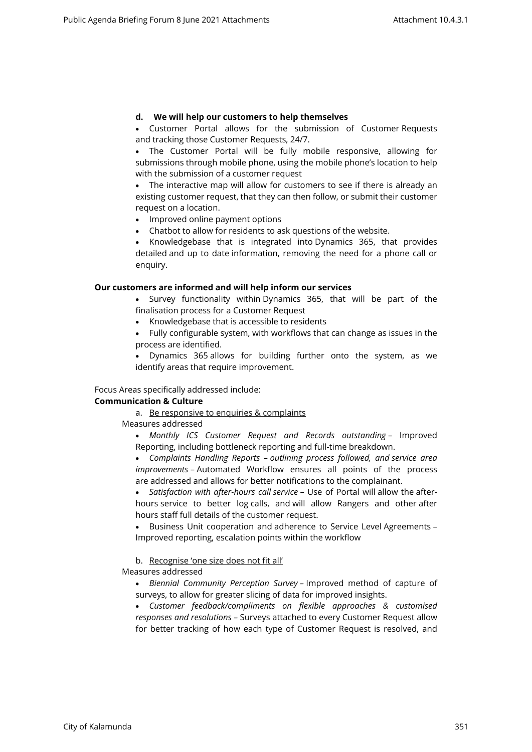# **d. We will help our customers to help themselves**

 Customer Portal allows for the submission of Customer Requests and tracking those Customer Requests, 24/7.

 The Customer Portal will be fully mobile responsive, allowing for submissions through mobile phone, using the mobile phone's location to help with the submission of a customer request

 The interactive map will allow for customers to see if there is already an existing customer request, that they can then follow, or submit their customer request on a location.

• Improved online payment options

Chatbot to allow for residents to ask questions of the website.

• Knowledgebase that is integrated into Dynamics 365, that provides detailed and up to date information, removing the need for a phone call or enquiry.

## **Our customers are informed and will help inform our services**

 Survey functionality within Dynamics 365, that will be part of the finalisation process for a Customer Request

• Knowledgebase that is accessible to residents

 Fully configurable system, with workflows that can change as issues in the process are identified.

 Dynamics 365 allows for building further onto the system, as we identify areas that require improvement.

Focus Areas specifically addressed include:

# **Communication & Culture**

a. Be responsive to enquiries & complaints

Measures addressed

 *Monthly ICS Customer Request and Records outstanding* – Improved Reporting, including bottleneck reporting and full-time breakdown.

 *Complaints Handling Reports – outlining process followed, and service area improvements* – Automated Workflow ensures all points of the process are addressed and allows for better notifications to the complainant.

 *Satisfaction with after-hours call service* – Use of Portal will allow the afterhours service to better log calls, and will allow Rangers and other after hours staff full details of the customer request.

 Business Unit cooperation and adherence to Service Level Agreements – Improved reporting, escalation points within the workflow

# b. Recognise 'one size does not fit all'

Measures addressed

 *Biennial Community Perception Survey –* Improved method of capture of surveys, to allow for greater slicing of data for improved insights.

 *Customer feedback/compliments on flexible approaches & customised responses and resolutions –* Surveys attached to every Customer Request allow for better tracking of how each type of Customer Request is resolved, and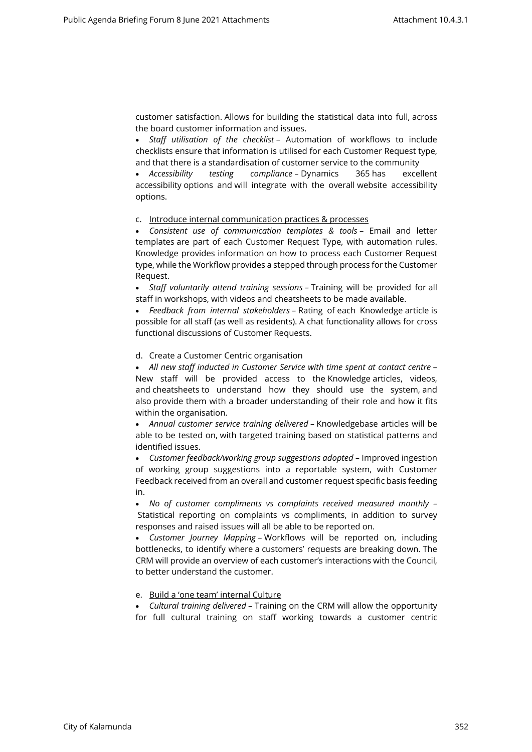customer satisfaction. Allows for building the statistical data into full, across the board customer information and issues.

 *Staff utilisation of the checklist* – Automation of workflows to include checklists ensure that information is utilised for each Customer Request type, and that there is a standardisation of customer service to the community

 *Accessibility testing compliance –* Dynamics 365 has excellent accessibility options and will integrate with the overall website accessibility options.

## c. Introduce internal communication practices & processes

 *Consistent use of communication templates & tools* – Email and letter templates are part of each Customer Request Type, with automation rules. Knowledge provides information on how to process each Customer Request type, while the Workflow provides a stepped through process for the Customer Request.

 *Staff voluntarily attend training sessions –* Training will be provided for all staff in workshops, with videos and cheatsheets to be made available.

 *Feedback from internal stakeholders –* Rating of each Knowledge article is possible for all staff (as well as residents). A chat functionality allows for cross functional discussions of Customer Requests.

#### d. Create a Customer Centric organisation

 *All new staff inducted in Customer Service with time spent at contact centre* – New staff will be provided access to the Knowledge articles, videos, and cheatsheets to understand how they should use the system, and also provide them with a broader understanding of their role and how it fits within the organisation.

 *Annual customer service training delivered –* Knowledgebase articles will be able to be tested on, with targeted training based on statistical patterns and identified issues.

 *Customer feedback/working group suggestions adopted –* Improved ingestion of working group suggestions into a reportable system, with Customer Feedback received from an overall and customer request specific basis feeding in.

 *No of customer compliments vs complaints received measured monthly –* Statistical reporting on complaints vs compliments, in addition to survey responses and raised issues will all be able to be reported on.

 *Customer Journey Mapping –* Workflows will be reported on, including bottlenecks, to identify where a customers' requests are breaking down. The CRM will provide an overview of each customer's interactions with the Council, to better understand the customer.

# e. Build a 'one team' internal Culture

 *Cultural training delivered* – Training on the CRM will allow the opportunity for full cultural training on staff working towards a customer centric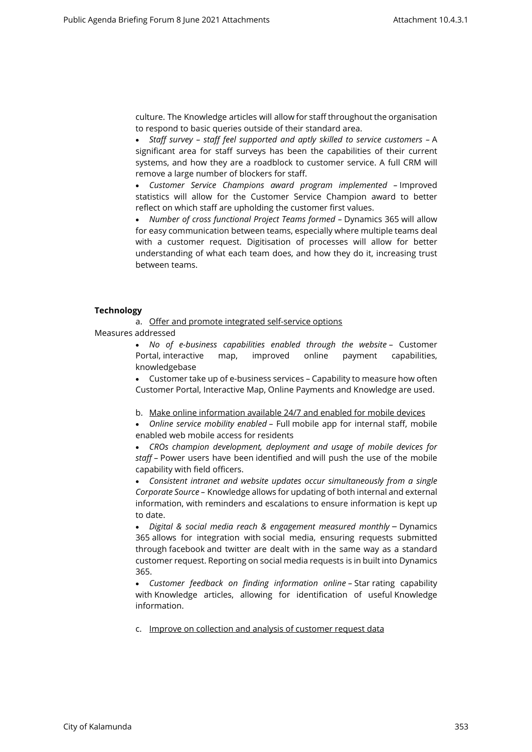culture. The Knowledge articles will allow for staff throughout the organisation to respond to basic queries outside of their standard area.

 *Staff survey – staff feel supported and aptly skilled to service customers –* A significant area for staff surveys has been the capabilities of their current systems, and how they are a roadblock to customer service. A full CRM will remove a large number of blockers for staff.

 *Customer Service Champions award program implemented –* Improved statistics will allow for the Customer Service Champion award to better reflect on which staff are upholding the customer first values.

• Number of cross functional Project Teams formed - Dynamics 365 will allow for easy communication between teams, especially where multiple teams deal with a customer request. Digitisation of processes will allow for better understanding of what each team does, and how they do it, increasing trust between teams.

#### **Technology**

a. Offer and promote integrated self-service options

Measures addressed

 *No of e-business capabilities enabled through the website* – Customer Portal, interactive map, improved online payment capabilities, knowledgebase

 Customer take up of e-business services – Capability to measure how often Customer Portal, Interactive Map, Online Payments and Knowledge are used.

b. Make online information available 24/7 and enabled for mobile devices

 *Online service mobility enabled* – Full mobile app for internal staff, mobile enabled web mobile access for residents

 *CROs champion development, deployment and usage of mobile devices for staff* – Power users have been identified and will push the use of the mobile capability with field officers.

 *Consistent intranet and website updates occur simultaneously from a single Corporate Source –* Knowledge allows for updating of both internal and external information, with reminders and escalations to ensure information is kept up to date.

 *Digital & social media reach & engagement measured monthly* – Dynamics 365 allows for integration with social media, ensuring requests submitted through facebook and twitter are dealt with in the same way as a standard customer request. Reporting on social media requests is in built into Dynamics 365.

 *Customer feedback on finding information online –* Star rating capability with Knowledge articles, allowing for identification of useful Knowledge information.

c. Improve on collection and analysis of customer request data